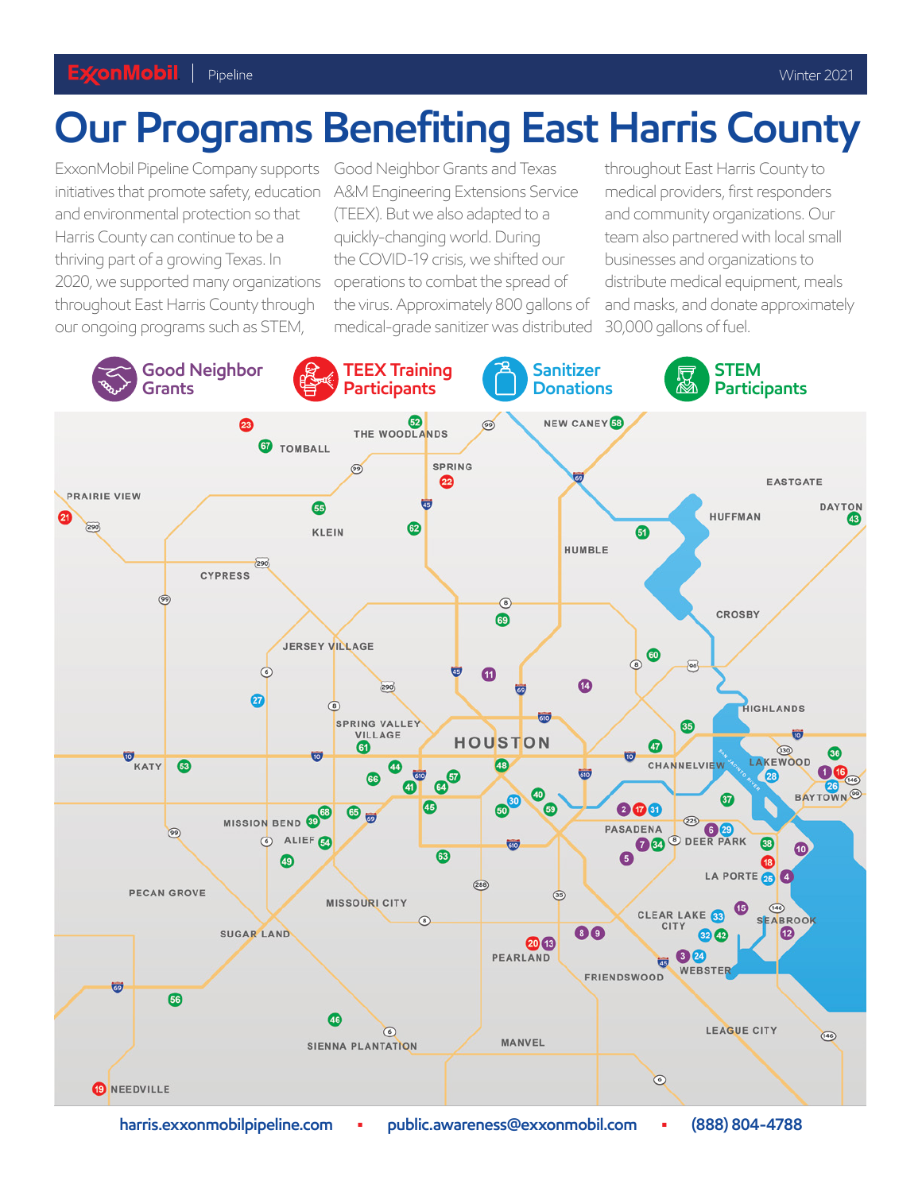## **Our Programs Benefiting East Harris County**

ExxonMobil Pipeline Company supports Good Neighbor Grants and Texas throughout East Harris County to initiatives that promote safety, education A&M Engineering Extensions Service medical providers, first responders and environmental protection so that (TEEX). But we also adapted to a and community organizations. Our Harris County can continue to be a quickly-changing world. During team also partnered with local small thriving part of a growing Texas. In the COVID-19 crisis, we shifted our businesses and organizations to 2020, we supported many organizations operations to combat the spread of distribute medical equipment, meals throughout East Harris County through the virus. Approximately 800 gallons of and masks, and donate approximately our ongoing programs such as STEM, medical-grade sanitizer was distributed 30,000 gallons of fuel.



 **[harris.exxonmobilpipeline.com](https://harris.exxonmobilpipeline.com) • [public.awareness@exxonmobil.com](mailto:public.awareness@exxonmobil.com) • (888) 804-4788**